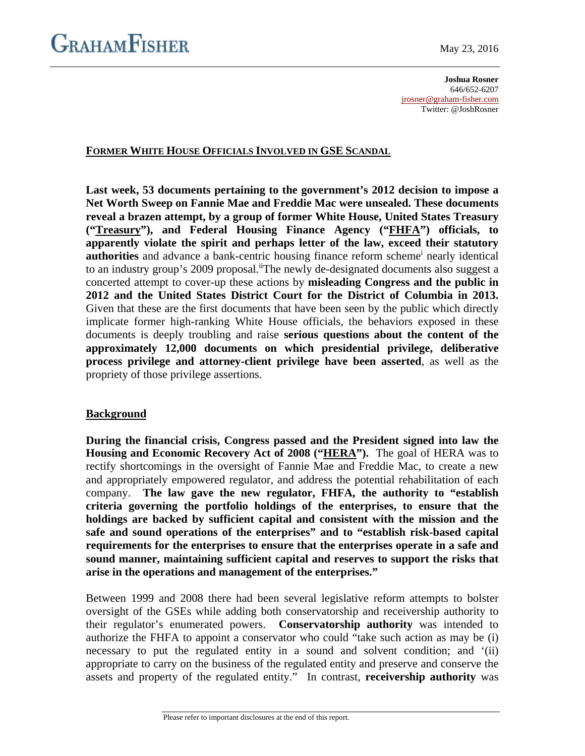**Joshua Rosner** 646/652-6207 [jrosner@graham-fisher.com](mailto:jrosner@graham-fisher.com) Twitter: @JoshRosner

# **FORMER WHITE HOUSE OFFICIALS INVOLVED IN GSE SCANDAL**

**Last week, 53 documents pertaining to the government's 2012 decision to impose a Net Worth Sweep on Fannie Mae and Freddie Mac were unsealed. These documents reveal a brazen attempt, by a group of former White House, United States Treasury ("Treasury"), and Federal Housing Finance Agency ("FHFA") officials, to apparently violate the spirit and perhaps letter of the law, exceed their statutory authorities** and advance a bank-centric housing finance reform scheme<sup>1</sup> nearly identical to an industry group's 2009 proposal.<sup>ii</sup>The newly de-designated documents also suggest a concerted attempt to cover-up these actions by **misleading Congress and the public in 2012 and the United States District Court for the District of Columbia in 2013.** Given that these are the first documents that have been seen by the public which directly implicate former high-ranking White House officials, the behaviors exposed in these documents is deeply troubling and raise **serious questions about the content of the approximately 12,000 documents on which presidential privilege, deliberative process privilege and attorney-client privilege have been asserted**, as well as the propriety of those privilege assertions.

# **Background**

**During the financial crisis, Congress passed and the President signed into law the Housing and Economic Recovery Act of 2008 ("HERA").** The goal of HERA was to rectify shortcomings in the oversight of Fannie Mae and Freddie Mac, to create a new and appropriately empowered regulator, and address the potential rehabilitation of each company. **The law gave the new regulator, FHFA, the authority to "establish criteria governing the portfolio holdings of the enterprises, to ensure that the holdings are backed by sufficient capital and consistent with the mission and the safe and sound operations of the enterprises" and to "establish risk-based capital requirements for the enterprises to ensure that the enterprises operate in a safe and sound manner, maintaining sufficient capital and reserves to support the risks that arise in the operations and management of the enterprises."**

Between 1999 and 2008 there had been several legislative reform attempts to bolster oversight of the GSEs while adding both conservatorship and receivership authority to their regulator's enumerated powers. **Conservatorship authority** was intended to authorize the FHFA to appoint a conservator who could "take such action as may be (i) necessary to put the regulated entity in a sound and solvent condition; and '(ii) appropriate to carry on the business of the regulated entity and preserve and conserve the assets and property of the regulated entity." In contrast, **receivership authority** was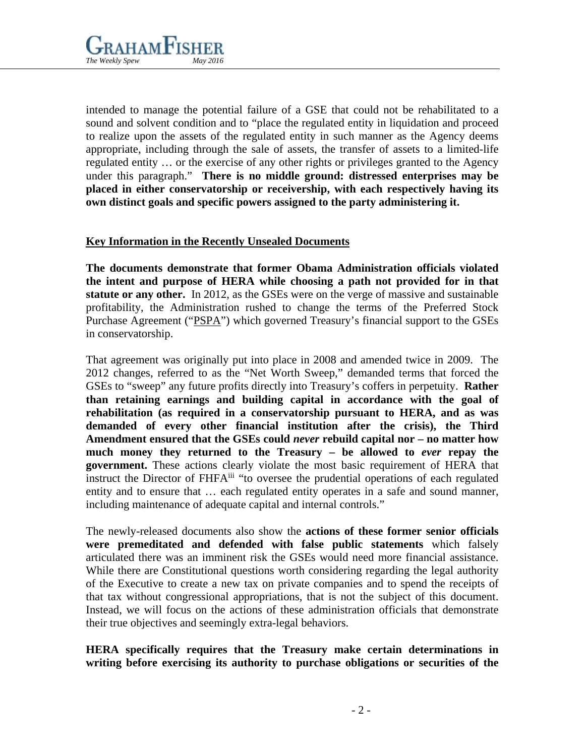

intended to manage the potential failure of a GSE that could not be rehabilitated to a sound and solvent condition and to "place the regulated entity in liquidation and proceed to realize upon the assets of the regulated entity in such manner as the Agency deems appropriate, including through the sale of assets, the transfer of assets to a limited-life regulated entity … or the exercise of any other rights or privileges granted to the Agency under this paragraph." **There is no middle ground: distressed enterprises may be placed in either conservatorship or receivership, with each respectively having its own distinct goals and specific powers assigned to the party administering it.**

# **Key Information in the Recently Unsealed Documents**

**The documents demonstrate that former Obama Administration officials violated the intent and purpose of HERA while choosing a path not provided for in that statute or any other.** In 2012, as the GSEs were on the verge of massive and sustainable profitability, the Administration rushed to change the terms of the Preferred Stock Purchase Agreement ("PSPA") which governed Treasury's financial support to the GSEs in conservatorship.

That agreement was originally put into place in 2008 and amended twice in 2009. The 2012 changes, referred to as the "Net Worth Sweep," demanded terms that forced the GSEs to "sweep" any future profits directly into Treasury's coffers in perpetuity. **Rather than retaining earnings and building capital in accordance with the goal of rehabilitation (as required in a conservatorship pursuant to HERA, and as was demanded of every other financial institution after the crisis), the Third Amendment ensured that the GSEs could** *never* **rebuild capital nor – no matter how much money they returned to the Treasury – be allowed to** *ever* **repay the government.** These actions clearly violate the most basic requirement of HERA that instruct the Director of FHFA<sup>iii</sup> "to oversee the prudential operations of each regulated entity and to ensure that … each regulated entity operates in a safe and sound manner, including maintenance of adequate capital and internal controls."

The newly-released documents also show the **actions of these former senior officials were premeditated and defended with false public statements** which falsely articulated there was an imminent risk the GSEs would need more financial assistance. While there are Constitutional questions worth considering regarding the legal authority of the Executive to create a new tax on private companies and to spend the receipts of that tax without congressional appropriations, that is not the subject of this document. Instead, we will focus on the actions of these administration officials that demonstrate their true objectives and seemingly extra-legal behaviors.

**HERA specifically requires that the Treasury make certain determinations in writing before exercising its authority to purchase obligations or securities of the**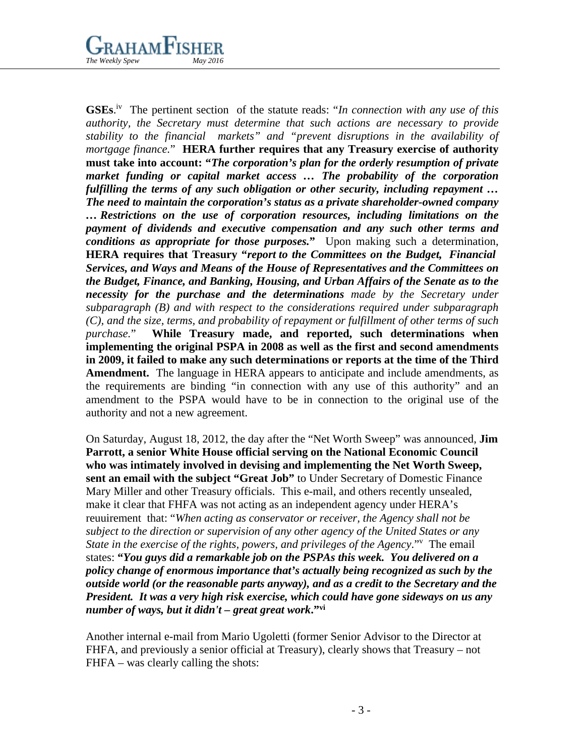# $\rm _{\rm r}$ aham $\rm F$ ishei *The Weekly Spew*

GSEs.<sup>iv</sup> The pertinent section of the statute reads: "*In connection with any use of this authority, the Secretary must determine that such actions are necessary to provide stability to the financial markets" and "prevent disruptions in the availability of mortgage finance.*" **HERA further requires that any Treasury exercise of authority must take into account: "***The corporation's plan for the orderly resumption of private market funding or capital market access … The probability of the corporation fulfilling the terms of any such obligation or other security, including repayment … The need to maintain the corporation's status as a private shareholder-owned company … Restrictions on the use of corporation resources, including limitations on the payment of dividends and executive compensation and any such other terms and conditions as appropriate for those purposes.***"** Upon making such a determination, **HERA requires that Treasury "***report to the Committees on the Budget, Financial Services, and Ways and Means of the House of Representatives and the Committees on the Budget, Finance, and Banking, Housing, and Urban Affairs of the Senate as to the necessity for the purchase and the determinations made by the Secretary under subparagraph (B) and with respect to the considerations required under subparagraph (C), and the size, terms, and probability of repayment or fulfillment of other terms of such purchase.*" **While Treasury made, and reported, such determinations when implementing the original PSPA in 2008 as well as the first and second amendments in 2009, it failed to make any such determinations or reports at the time of the Third Amendment.** The language in HERA appears to anticipate and include amendments, as the requirements are binding "in connection with any use of this authority" and an amendment to the PSPA would have to be in connection to the original use of the authority and not a new agreement.

On Saturday, August 18, 2012, the day after the "Net Worth Sweep" was announced, **Jim Parrott, a senior White House official serving on the National Economic Council who was intimately involved in devising and implementing the Net Worth Sweep, sent an email with the subject "Great Job"** to Under Secretary of Domestic Finance Mary Miller and other Treasury officials. This e-mail, and others recently unsealed, make it clear that FHFA was not acting as an independent agency under HERA's reuuirement that: "*When acting as conservator or receiver, the Agency shall not be subject to the direction or supervision of any other agency of the United States or any*  State in the exercise of the rights, powers, and privileges of the Agency." The email states: **"***You guys did a remarkable job on the PSPAs this week. You delivered on a policy change of enormous importance that's actually being recognized as such by the outside world (or the reasonable parts anyway), and as a credit to the Secretary and the President. It was a very high risk exercise, which could have gone sideways on us any number of ways, but it didn't – great great work***."vi** 

Another internal e-mail from Mario Ugoletti (former Senior Advisor to the Director at FHFA, and previously a senior official at Treasury), clearly shows that Treasury – not FHFA – was clearly calling the shots: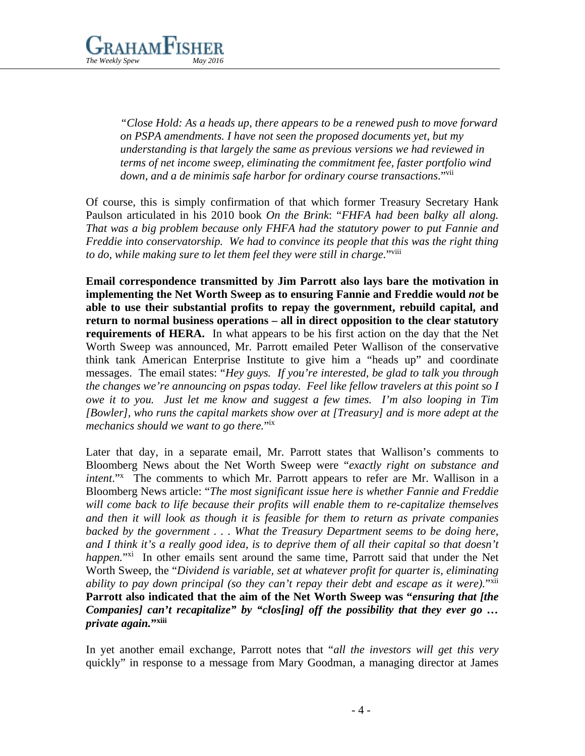

*"Close Hold: As a heads up, there appears to be a renewed push to move forward on PSPA amendments. I have not seen the proposed documents yet, but my understanding is that largely the same as previous versions we had reviewed in terms of net income sweep, eliminating the commitment fee, faster portfolio wind down, and a de minimis safe harbor for ordinary course transactions*."vii

Of course, this is simply confirmation of that which former Treasury Secretary Hank Paulson articulated in his 2010 book *On the Brink*: "*FHFA had been balky all along. That was a big problem because only FHFA had the statutory power to put Fannie and Freddie into conservatorship. We had to convince its people that this was the right thing to do, while making sure to let them feel they were still in charge.*"viii

**Email correspondence transmitted by Jim Parrott also lays bare the motivation in implementing the Net Worth Sweep as to ensuring Fannie and Freddie would** *not* **be able to use their substantial profits to repay the government, rebuild capital, and return to normal business operations – all in direct opposition to the clear statutory requirements of HERA.** In what appears to be his first action on the day that the Net Worth Sweep was announced, Mr. Parrott emailed Peter Wallison of the conservative think tank American Enterprise Institute to give him a "heads up" and coordinate messages. The email states: "*Hey guys. If you're interested, be glad to talk you through the changes we're announcing on pspas today. Feel like fellow travelers at this point so I owe it to you. Just let me know and suggest a few times. I'm also looping in Tim [Bowler], who runs the capital markets show over at [Treasury] and is more adept at the mechanics should we want to go there.*"ix

Later that day, in a separate email, Mr. Parrott states that Wallison's comments to Bloomberg News about the Net Worth Sweep were "*exactly right on substance and intent*."x The comments to which Mr. Parrott appears to refer are Mr. Wallison in a Bloomberg News article: "*The most significant issue here is whether Fannie and Freddie will come back to life because their profits will enable them to re-capitalize themselves and then it will look as though it is feasible for them to return as private companies backed by the government . . . What the Treasury Department seems to be doing here, and I think it's a really good idea, is to deprive them of all their capital so that doesn't happen.*"<sup>xi</sup> In other emails sent around the same time, Parrott said that under the Net Worth Sweep, the "*Dividend is variable, set at whatever profit for quarter is, eliminating ability to pay down principal (so they can't repay their debt and escape as it were).*"<sup>xii</sup> **Parrott also indicated that the aim of the Net Worth Sweep was "***ensuring that [the Companies] can't recapitalize" by "clos[ing] off the possibility that they ever go … private again.***"xiii**

In yet another email exchange, Parrott notes that "*all the investors will get this very*  quickly" in response to a message from Mary Goodman, a managing director at James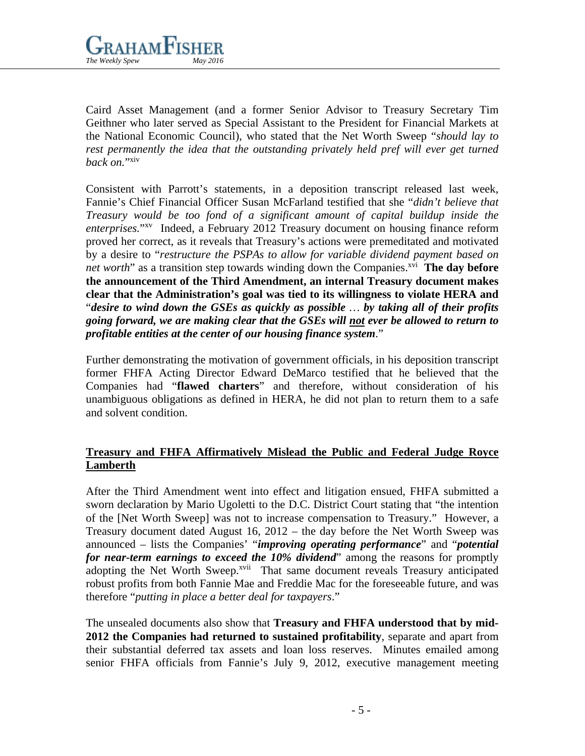

Caird Asset Management (and a former Senior Advisor to Treasury Secretary Tim Geithner who later served as Special Assistant to the President for Financial Markets at the National Economic Council), who stated that the Net Worth Sweep "*should lay to*  rest permanently the idea that the outstanding privately held pref will ever get turned *back on.*"xiv

Consistent with Parrott's statements, in a deposition transcript released last week, Fannie's Chief Financial Officer Susan McFarland testified that she "*didn't believe that Treasury would be too fond of a significant amount of capital buildup inside the enterprises.*"xv Indeed, a February 2012 Treasury document on housing finance reform proved her correct, as it reveals that Treasury's actions were premeditated and motivated by a desire to "*restructure the PSPAs to allow for variable dividend payment based on net worth*" as a transition step towards winding down the Companies.<sup>xvi</sup> The day before **the announcement of the Third Amendment, an internal Treasury document makes clear that the Administration's goal was tied to its willingness to violate HERA and** "*desire to wind down the GSEs as quickly as possible … by taking all of their profits going forward, we are making clear that the GSEs will not ever be allowed to return to profitable entities at the center of our housing finance system*."

Further demonstrating the motivation of government officials, in his deposition transcript former FHFA Acting Director Edward DeMarco testified that he believed that the Companies had "**flawed charters**" and therefore, without consideration of his unambiguous obligations as defined in HERA, he did not plan to return them to a safe and solvent condition.

# **Treasury and FHFA Affirmatively Mislead the Public and Federal Judge Royce Lamberth**

After the Third Amendment went into effect and litigation ensued, FHFA submitted a sworn declaration by Mario Ugoletti to the D.C. District Court stating that "the intention of the [Net Worth Sweep] was not to increase compensation to Treasury." However, a Treasury document dated August 16, 2012 – the day before the Net Worth Sweep was announced – lists the Companies' "*improving operating performance*" and "*potential for near-term earnings to exceed the 10% dividend*" among the reasons for promptly adopting the Net Worth Sweep.<sup>xvii</sup> That same document reveals Treasury anticipated robust profits from both Fannie Mae and Freddie Mac for the foreseeable future, and was therefore "*putting in place a better deal for taxpayers*."

The unsealed documents also show that **Treasury and FHFA understood that by mid-2012 the Companies had returned to sustained profitability**, separate and apart from their substantial deferred tax assets and loan loss reserves. Minutes emailed among senior FHFA officials from Fannie's July 9, 2012, executive management meeting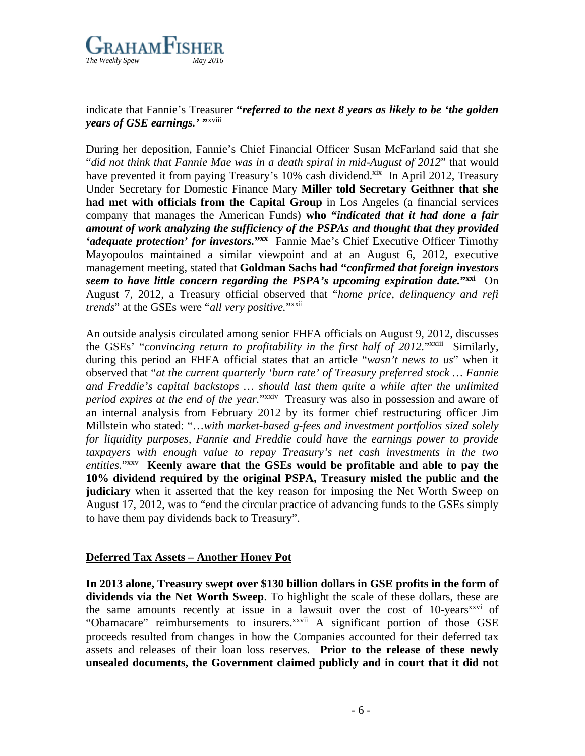

indicate that Fannie's Treasurer **"***referred to the next 8 years as likely to be 'the golden years of GSE earnings.'* "xviii

During her deposition, Fannie's Chief Financial Officer Susan McFarland said that she "*did not think that Fannie Mae was in a death spiral in mid-August of 2012*" that would have prevented it from paying Treasury's 10% cash dividend.<sup>xix</sup> In April 2012, Treasury Under Secretary for Domestic Finance Mary **Miller told Secretary Geithner that she had met with officials from the Capital Group** in Los Angeles (a financial services company that manages the American Funds) **who "***indicated that it had done a fair amount of work analyzing the sufficiency of the PSPAs and thought that they provided 'adequate protection' for investors.*<sup>"xx</sup> Fannie Mae's Chief Executive Officer Timothy Mayopoulos maintained a similar viewpoint and at an August 6, 2012, executive management meeting, stated that **Goldman Sachs had "***confirmed that foreign investors seem to have little concern regarding the PSPA's upcoming expiration date.***"xxi** On August 7, 2012, a Treasury official observed that "*home price, delinquency and refi trends*" at the GSEs were "*all very positive.*"xxii

An outside analysis circulated among senior FHFA officials on August 9, 2012, discusses the GSEs' "*convincing return to profitability in the first half of 2012.*"xxiii Similarly, during this period an FHFA official states that an article "*wasn't news to us*" when it observed that "*at the current quarterly 'burn rate' of Treasury preferred stock … Fannie and Freddie's capital backstops … should last them quite a while after the unlimited period expires at the end of the year.*"xxiv Treasury was also in possession and aware of an internal analysis from February 2012 by its former chief restructuring officer Jim Millstein who stated: "…*with market-based g-fees and investment portfolios sized solely for liquidity purposes, Fannie and Freddie could have the earnings power to provide taxpayers with enough value to repay Treasury's net cash investments in the two entities.*"xxv **Keenly aware that the GSEs would be profitable and able to pay the 10% dividend required by the original PSPA, Treasury misled the public and the judiciary** when it asserted that the key reason for imposing the Net Worth Sweep on August 17, 2012, was to "end the circular practice of advancing funds to the GSEs simply to have them pay dividends back to Treasury".

# **Deferred Tax Assets – Another Honey Pot**

**In 2013 alone, Treasury swept over \$130 billion dollars in GSE profits in the form of dividends via the Net Worth Sweep**. To highlight the scale of these dollars, these are the same amounts recently at issue in a lawsuit over the cost of 10-years<sup>xxvi</sup> of "Obamacare" reimbursements to insurers.<sup>xxvii</sup> A significant portion of those GSE proceeds resulted from changes in how the Companies accounted for their deferred tax assets and releases of their loan loss reserves. **Prior to the release of these newly unsealed documents, the Government claimed publicly and in court that it did not**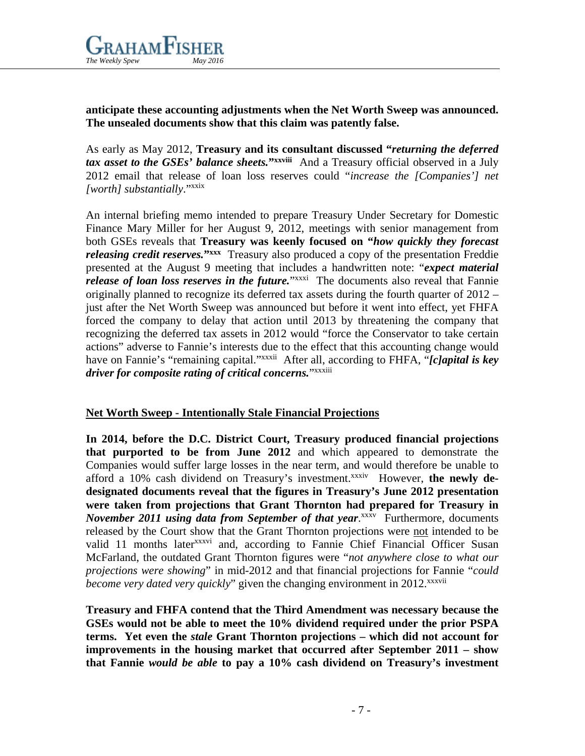

**anticipate these accounting adjustments when the Net Worth Sweep was announced. The unsealed documents show that this claim was patently false.**

As early as May 2012, **Treasury and its consultant discussed "***returning the deferred tax asset to the GSEs' balance sheets.***"xxviii** And a Treasury official observed in a July 2012 email that release of loan loss reserves could "*increase the [Companies'] net [worth] substantially*."xxix

An internal briefing memo intended to prepare Treasury Under Secretary for Domestic Finance Mary Miller for her August 9, 2012, meetings with senior management from both GSEs reveals that **Treasury was keenly focused on "***how quickly they forecast releasing credit reserves.*<sup>"xxx</sup> Treasury also produced a copy of the presentation Freddie presented at the August 9 meeting that includes a handwritten note: "*expect material release of loan loss reserves in the future*."*xxxi* The documents also reveal that Fannie originally planned to recognize its deferred tax assets during the fourth quarter of 2012 – just after the Net Worth Sweep was announced but before it went into effect, yet FHFA forced the company to delay that action until 2013 by threatening the company that recognizing the deferred tax assets in 2012 would "force the Conservator to take certain actions" adverse to Fannie's interests due to the effect that this accounting change would have on Fannie's "remaining capital."xxxii After all, according to FHFA, "*[c]apital is key driver for composite rating of critical concerns.*"xxxiii

# **Net Worth Sweep - Intentionally Stale Financial Projections**

**In 2014, before the D.C. District Court, Treasury produced financial projections that purported to be from June 2012** and which appeared to demonstrate the Companies would suffer large losses in the near term, and would therefore be unable to afford a 10% cash dividend on Treasury's investment.<sup>xxxiv</sup> However, the newly de**designated documents reveal that the figures in Treasury's June 2012 presentation were taken from projections that Grant Thornton had prepared for Treasury in**  *November 2011 using data from September of that year*.<sup>xxxv</sup> Furthermore, documents released by the Court show that the Grant Thornton projections were not intended to be valid 11 months later<sup>xxxvi</sup> and, according to Fannie Chief Financial Officer Susan McFarland, the outdated Grant Thornton figures were "*not anywhere close to what our projections were showing*" in mid-2012 and that financial projections for Fannie "*could become very dated very quickly*" given the changing environment in 2012.<sup>xxxvii</sup>

**Treasury and FHFA contend that the Third Amendment was necessary because the GSEs would not be able to meet the 10% dividend required under the prior PSPA terms. Yet even the** *stale* **Grant Thornton projections – which did not account for improvements in the housing market that occurred after September 2011 – show that Fannie** *would be able* **to pay a 10% cash dividend on Treasury's investment**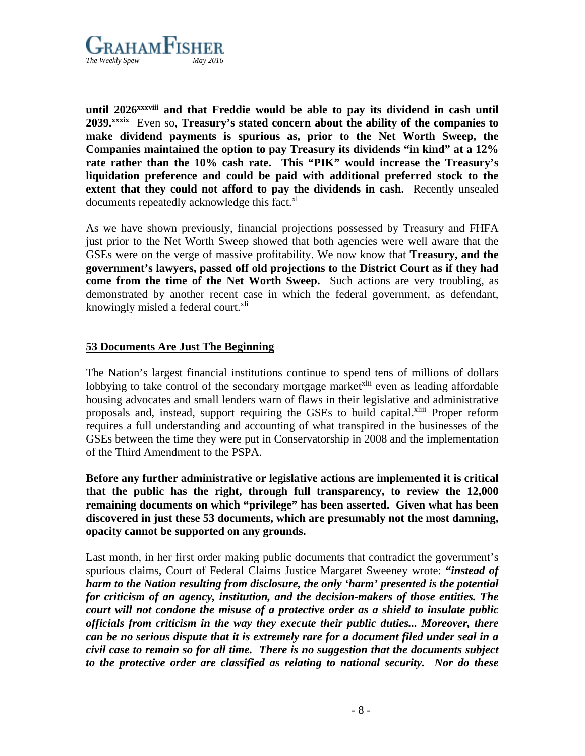

**until 2026xxxviii and that Freddie would be able to pay its dividend in cash until 2039.xxxix** Even so, **Treasury's stated concern about the ability of the companies to make dividend payments is spurious as, prior to the Net Worth Sweep, the Companies maintained the option to pay Treasury its dividends "in kind" at a 12% rate rather than the 10% cash rate. This "PIK" would increase the Treasury's liquidation preference and could be paid with additional preferred stock to the extent that they could not afford to pay the dividends in cash.** Recently unsealed documents repeatedly acknowledge this fact.<sup>xl</sup>

As we have shown previously, financial projections possessed by Treasury and FHFA just prior to the Net Worth Sweep showed that both agencies were well aware that the GSEs were on the verge of massive profitability. We now know that **Treasury, and the government's lawyers, passed off old projections to the District Court as if they had come from the time of the Net Worth Sweep.** Such actions are very troubling, as demonstrated by another recent case in which the federal government, as defendant, knowingly misled a federal court.<sup>xli</sup>

# **53 Documents Are Just The Beginning**

The Nation's largest financial institutions continue to spend tens of millions of dollars lobbying to take control of the secondary mortgage market<sup>xlii</sup> even as leading affordable housing advocates and small lenders warn of flaws in their legislative and administrative proposals and, instead, support requiring the GSEs to build capital.<sup>xliii</sup> Proper reform requires a full understanding and accounting of what transpired in the businesses of the GSEs between the time they were put in Conservatorship in 2008 and the implementation of the Third Amendment to the PSPA.

**Before any further administrative or legislative actions are implemented it is critical that the public has the right, through full transparency, to review the 12,000 remaining documents on which "privilege" has been asserted. Given what has been discovered in just these 53 documents, which are presumably not the most damning, opacity cannot be supported on any grounds.**

Last month, in her first order making public documents that contradict the government's spurious claims, Court of Federal Claims Justice Margaret Sweeney wrote: **"***instead of harm to the Nation resulting from disclosure, the only 'harm' presented is the potential for criticism of an agency, institution, and the decision-makers of those entities. The court will not condone the misuse of a protective order as a shield to insulate public officials from criticism in the way they execute their public duties... Moreover, there can be no serious dispute that it is extremely rare for a document filed under seal in a civil case to remain so for all time. There is no suggestion that the documents subject to the protective order are classified as relating to national security. Nor do these*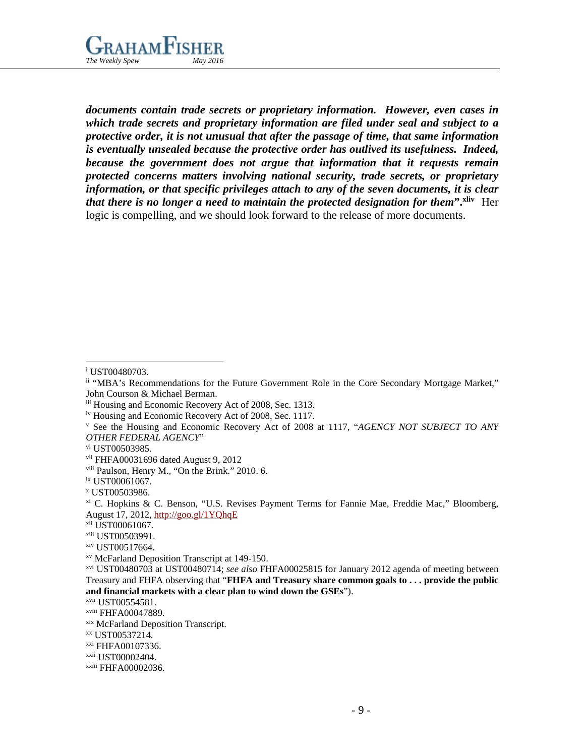

*documents contain trade secrets or proprietary information. However, even cases in which trade secrets and proprietary information are filed under seal and subject to a protective order, it is not unusual that after the passage of time, that same information is eventually unsealed because the protective order has outlived its usefulness. Indeed, because the government does not argue that information that it requests remain protected concerns matters involving national security, trade secrets, or proprietary information, or that specific privileges attach to any of the seven documents, it is clear that there is no longer a need to maintain the protected designation for them***".xliv** Her logic is compelling, and we should look forward to the release of more documents.

i UST00480703.

- <sup>v</sup> See the Housing and Economic Recovery Act of 2008 at 1117, "*AGENCY NOT SUBJECT TO ANY*
- *OTHER FEDERAL AGENCY*"
- vi UST00503985.

xii UST00061067.

ii "MBA's Recommendations for the Future Government Role in the Core Secondary Mortgage Market," John Courson & Michael Berman.

iii Housing and Economic Recovery Act of 2008, Sec. 1313.

iv Housing and Economic Recovery Act of 2008, Sec. 1117.

vii FHFA00031696 dated August 9, 2012

viii Paulson, Henry M., "On the Brink." 2010. 6.

ix UST00061067.

<sup>x</sup> UST00503986.

xi C. Hopkins & C. Benson, "U.S. Revises Payment Terms for Fannie Mae, Freddie Mac," Bloomberg, August 17, 2012,<http://goo.gl/1YQhqE>

xiii UST00503991.

xiv UST00517664.

xv McFarland Deposition Transcript at 149-150.

xvi UST00480703 at UST00480714; *see also* FHFA00025815 for January 2012 agenda of meeting between Treasury and FHFA observing that "**FHFA and Treasury share common goals to . . . provide the public and financial markets with a clear plan to wind down the GSEs**").

xvii UST00554581.

xviii FHFA00047889.

xix McFarland Deposition Transcript.

xx UST00537214.

xxi FHFA00107336.

xxii UST00002404.

xxiii FHFA00002036.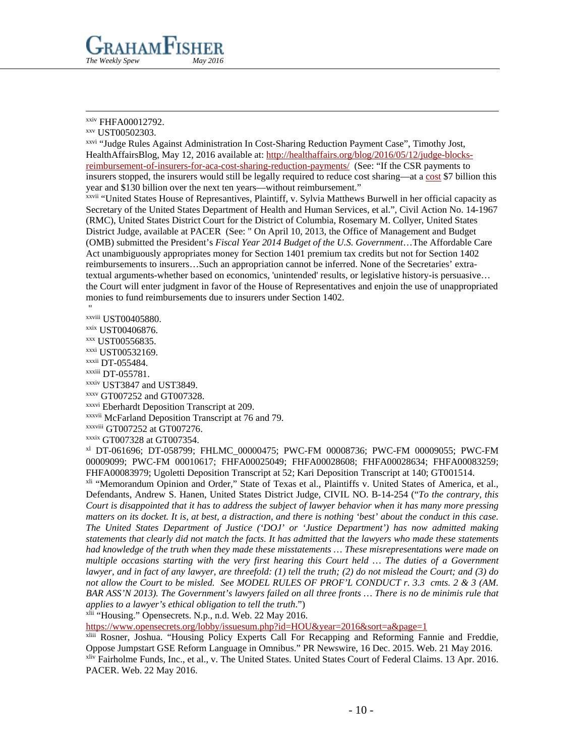

#### xxiv FHFA00012792.

xxvi "Judge Rules Against Administration In Cost-Sharing Reduction Payment Case", Timothy Jost, HealthAffairsBlog, May 12, 2016 available at: [http://healthaffairs.org/blog/2016/05/12/judge-blocks](http://healthaffairs.org/blog/2016/05/12/judge-blocks-reimbursement-of-insurers-for-aca-cost-sharing-reduction-payments/)[reimbursement-of-insurers-for-aca-cost-sharing-reduction-payments/](http://healthaffairs.org/blog/2016/05/12/judge-blocks-reimbursement-of-insurers-for-aca-cost-sharing-reduction-payments/) (See: "If the CSR payments to insurers stopped, the insurers would still be legally required to reduce cost sharing—at a [cost](https://www.cbo.gov/publication/51385) \$7 billion this year and \$130 billion over the next ten years—without reimbursement."

xxvii "United States House of Represantives, Plaintiff, v. Sylvia Matthews Burwell in her official capacity as Secretary of the United States Department of Health and Human Services, et al.", Civil Action No. 14-1967 (RMC), United States District Court for the District of Columbia, Rosemary M. Collyer, United States District Judge, available at PACER (See: " On April 10, 2013, the Office of Management and Budget (OMB) submitted the President's *Fiscal Year 2014 Budget of the U.S. Government*…The Affordable Care Act unambiguously appropriates money for Section 1401 premium tax credits but not for Section 1402 reimbursements to insurers…Such an appropriation cannot be inferred. None of the Secretaries' extratextual arguments-whether based on economics, 'unintended' results, or legislative history-is persuasive… the Court will enter judgment in favor of the House of Representatives and enjoin the use of unappropriated monies to fund reimbursements due to insurers under Section 1402.

" xxviii UST00405880.

xxix UST00406876.

xxx UST00556835.

xxxi UST00532169.

xxxii DT-055484.

- xxxiii DT-055781.
- xxxiv UST3847 and UST3849.
- xxxv GT007252 and GT007328.

xxxvi Eberhardt Deposition Transcript at 209.

xxxvii McFarland Deposition Transcript at 76 and 79.

xxxviii GT007252 at GT007276.

xxxix GT007328 at GT007354.

xl DT-061696; DT-058799; FHLMC\_00000475; PWC-FM 00008736; PWC-FM 00009055; PWC-FM 00009099; PWC-FM 00010617; FHFA00025049; FHFA00028608; FHFA00028634; FHFA00083259; FHFA00083979; Ugoletti Deposition Transcript at 52; Kari Deposition Transcript at 140; GT001514.

xli "Memorandum Opinion and Order," State of Texas et al., Plaintiffs v. United States of America, et al., Defendants, Andrew S. Hanen, United States District Judge, CIVIL NO. B-14-254 ("*To the contrary, this Court is disappointed that it has to address the subject of lawyer behavior when it has many more pressing matters on its docket. It is, at best, a distraction, and there is nothing 'best' about the conduct in this case. The United States Department of Justice ('DOJ' or 'Justice Department') has now admitted making statements that clearly did not match the facts. It has admitted that the lawyers who made these statements had knowledge of the truth when they made these misstatements … These misrepresentations were made on multiple occasions starting with the very first hearing this Court held … The duties of a Government lawyer, and in fact of any lawyer, are threefold: (1) tell the truth; (2) do not mislead the Court; and (3) do not allow the Court to be misled. See MODEL RULES OF PROF'L CONDUCT r. 3.3 cmts. 2 & 3 (AM. BAR ASS'N 2013). The Government's lawyers failed on all three fronts … There is no de minimis rule that applies to a lawyer's ethical obligation to tell the truth*.")

xlii "Housing." Opensecrets. N.p., n.d. Web. 22 May 2016.

<https://www.opensecrets.org/lobby/issuesum.php?id=HOU&year=2016&sort=a&page=1>

xliii Rosner, Joshua. "Housing Policy Experts Call For Recapping and Reforming Fannie and Freddie, Oppose Jumpstart GSE Reform Language in Omnibus." PR Newswire, 16 Dec. 2015. Web. 21 May 2016. xliv Fairholme Funds, Inc., et al., v. The United States. United States Court of Federal Claims. 13 Apr. 2016. PACER. Web. 22 May 2016.

xxv UST00502303.